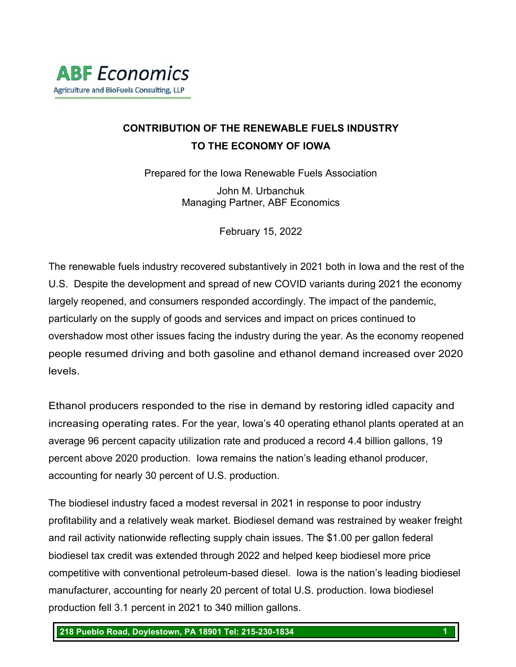# **CONTRIBUTION OF THE RENEWABLE FUELS INDUSTRY TO THE ECONOMY OF IOWA**

Prepared for the Iowa Renewable Fuels Association

John M. Urbanchuk Managing Partner, ABF Economics

February 15, 2022

The renewable fuels industry recovered substantively in 2021 both in Iowa and the rest of the U.S. Despite the development and spread of new COVID variants during 2021 the economy largely reopened, and consumers responded accordingly. The impact of the pandemic, particularly on the supply of goods and services and impact on prices continued to overshadow most other issues facing the industry during the year. As the economy reopened people resumed driving and both gasoline and ethanol demand increased over 2020 levels.

Ethanol producers responded to the rise in demand by restoring idled capacity and increasing operating rates. For the year, Iowa's 40 operating ethanol plants operated at an average 96 percent capacity utilization rate and produced a record 4.4 billion gallons, 19 percent above 2020 production. Iowa remains the nation's leading ethanol producer, accounting for nearly 30 percent of U.S. production.

The biodiesel industry faced a modest reversal in 2021 in response to poor industry profitability and a relatively weak market. Biodiesel demand was restrained by weaker freight and rail activity nationwide reflecting supply chain issues. The \$1.00 per gallon federal biodiesel tax credit was extended through 2022 and helped keep biodiesel more price competitive with conventional petroleum-based diesel. Iowa is the nation's leading biodiesel manufacturer, accounting for nearly 20 percent of total U.S. production. Iowa biodiesel production fell 3.1 percent in 2021 to 340 million gallons.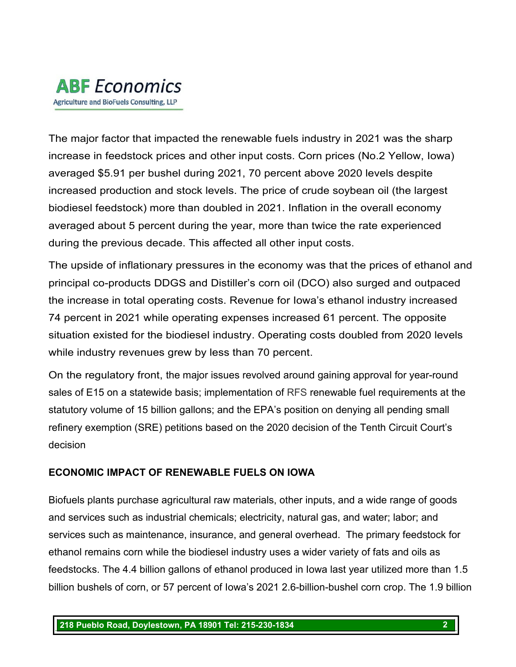

The major factor that impacted the renewable fuels industry in 2021 was the sharp increase in feedstock prices and other input costs. Corn prices (No.2 Yellow, Iowa) averaged \$5.91 per bushel during 2021, 70 percent above 2020 levels despite increased production and stock levels. The price of crude soybean oil (the largest biodiesel feedstock) more than doubled in 2021. Inflation in the overall economy averaged about 5 percent during the year, more than twice the rate experienced during the previous decade. This affected all other input costs.

The upside of inflationary pressures in the economy was that the prices of ethanol and principal co-products DDGS and Distiller's corn oil (DCO) also surged and outpaced the increase in total operating costs. Revenue for Iowa's ethanol industry increased 74 percent in 2021 while operating expenses increased 61 percent. The opposite situation existed for the biodiesel industry. Operating costs doubled from 2020 levels while industry revenues grew by less than 70 percent.

On the regulatory front, the major issues revolved around gaining approval for year-round sales of E15 on a statewide basis; implementation of RFS renewable fuel requirements at the statutory volume of 15 billion gallons; and the EPA's position on denying all pending small refinery exemption (SRE) petitions based on the 2020 decision of the Tenth Circuit Court's decision

# **ECONOMIC IMPACT OF RENEWABLE FUELS ON IOWA**

Biofuels plants purchase agricultural raw materials, other inputs, and a wide range of goods and services such as industrial chemicals; electricity, natural gas, and water; labor; and services such as maintenance, insurance, and general overhead. The primary feedstock for ethanol remains corn while the biodiesel industry uses a wider variety of fats and oils as feedstocks. The 4.4 billion gallons of ethanol produced in Iowa last year utilized more than 1.5 billion bushels of corn, or 57 percent of Iowa's 2021 2.6-billion-bushel corn crop. The 1.9 billion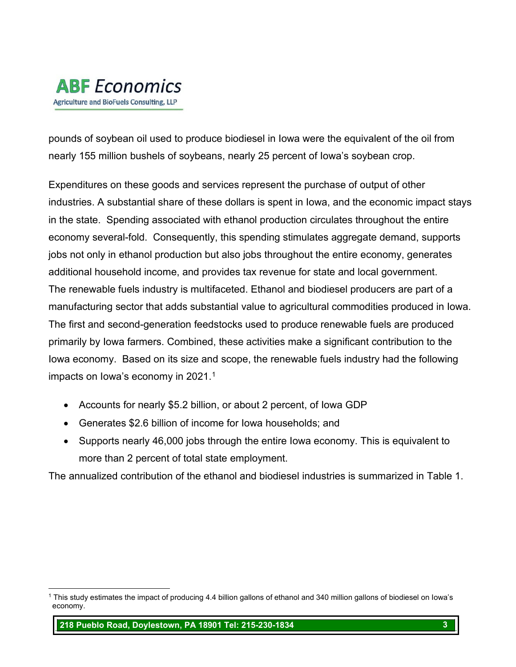

pounds of soybean oil used to produce biodiesel in Iowa were the equivalent of the oil from nearly 155 million bushels of soybeans, nearly 25 percent of Iowa's soybean crop.

Expenditures on these goods and services represent the purchase of output of other industries. A substantial share of these dollars is spent in Iowa, and the economic impact stays in the state. Spending associated with ethanol production circulates throughout the entire economy several-fold. Consequently, this spending stimulates aggregate demand, supports jobs not only in ethanol production but also jobs throughout the entire economy, generates additional household income, and provides tax revenue for state and local government. The renewable fuels industry is multifaceted. Ethanol and biodiesel producers are part of a manufacturing sector that adds substantial value to agricultural commodities produced in Iowa. The first and second-generation feedstocks used to produce renewable fuels are produced primarily by Iowa farmers. Combined, these activities make a significant contribution to the Iowa economy. Based on its size and scope, the renewable fuels industry had the following impacts on Iowa's economy in 202[1](#page-2-0). $^{\rm 1}$ 

- Accounts for nearly \$5.2 billion, or about 2 percent, of Iowa GDP
- Generates \$2.6 billion of income for Iowa households; and
- Supports nearly 46,000 jobs through the entire Iowa economy. This is equivalent to more than 2 percent of total state employment.

The annualized contribution of the ethanol and biodiesel industries is summarized in Table 1.

**218 Pueblo Road, Doylestown, PA 18901 Tel: 215-230-1834 3**

<span id="page-2-0"></span><sup>1</sup> This study estimates the impact of producing 4.4 billion gallons of ethanol and 340 million gallons of biodiesel on Iowa's economy.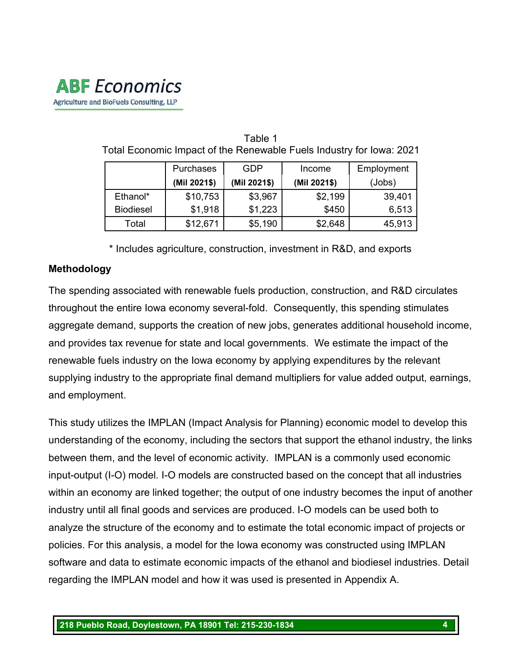# **ABF** Economics Agriculture and BioFuels Consulting, LLP

|                  | <b>Purchases</b> | <b>GDP</b>   | Income       | Employment |
|------------------|------------------|--------------|--------------|------------|
|                  | (Mil 2021\$)     | (Mil 2021\$) | (Mil 2021\$) | (Jobs)     |
| Ethanol*         | \$10,753         | \$3,967      | \$2,199      | 39,401     |
| <b>Biodiesel</b> | \$1,918          | \$1,223      | \$450        | 6,513      |
| Total            | \$12,671         | \$5,190      | \$2,648      | 45,913     |

Table 1 Total Economic Impact of the Renewable Fuels Industry for Iowa: 2021

\* Includes agriculture, construction, investment in R&D, and exports

# **Methodology**

The spending associated with renewable fuels production, construction, and R&D circulates throughout the entire Iowa economy several-fold. Consequently, this spending stimulates aggregate demand, supports the creation of new jobs, generates additional household income, and provides tax revenue for state and local governments. We estimate the impact of the renewable fuels industry on the Iowa economy by applying expenditures by the relevant supplying industry to the appropriate final demand multipliers for value added output, earnings, and employment.

This study utilizes the IMPLAN (Impact Analysis for Planning) economic model to develop this understanding of the economy, including the sectors that support the ethanol industry, the links between them, and the level of economic activity. IMPLAN is a commonly used economic input-output (I-O) model. I-O models are constructed based on the concept that all industries within an economy are linked together; the output of one industry becomes the input of another industry until all final goods and services are produced. I-O models can be used both to analyze the structure of the economy and to estimate the total economic impact of projects or policies. For this analysis, a model for the Iowa economy was constructed using IMPLAN software and data to estimate economic impacts of the ethanol and biodiesel industries. Detail regarding the IMPLAN model and how it was used is presented in Appendix A.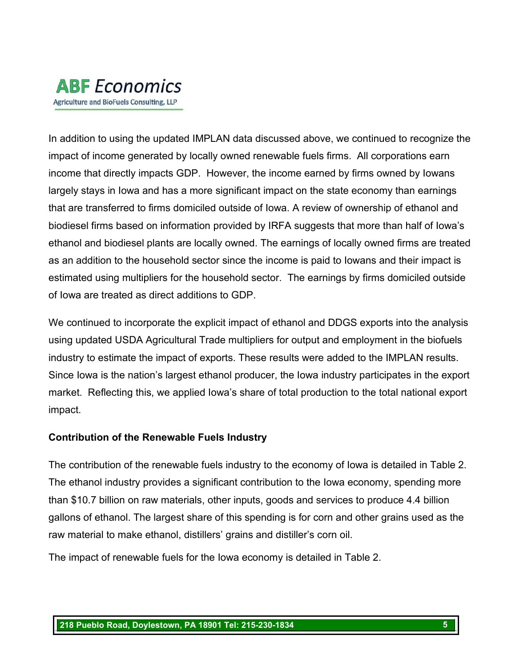

In addition to using the updated IMPLAN data discussed above, we continued to recognize the impact of income generated by locally owned renewable fuels firms. All corporations earn income that directly impacts GDP. However, the income earned by firms owned by Iowans largely stays in Iowa and has a more significant impact on the state economy than earnings that are transferred to firms domiciled outside of Iowa. A review of ownership of ethanol and biodiesel firms based on information provided by IRFA suggests that more than half of Iowa's ethanol and biodiesel plants are locally owned. The earnings of locally owned firms are treated as an addition to the household sector since the income is paid to Iowans and their impact is estimated using multipliers for the household sector. The earnings by firms domiciled outside of Iowa are treated as direct additions to GDP.

We continued to incorporate the explicit impact of ethanol and DDGS exports into the analysis using updated USDA Agricultural Trade multipliers for output and employment in the biofuels industry to estimate the impact of exports. These results were added to the IMPLAN results. Since Iowa is the nation's largest ethanol producer, the Iowa industry participates in the export market. Reflecting this, we applied Iowa's share of total production to the total national export impact.

# **Contribution of the Renewable Fuels Industry**

The contribution of the renewable fuels industry to the economy of Iowa is detailed in Table 2. The ethanol industry provides a significant contribution to the Iowa economy, spending more than \$10.7 billion on raw materials, other inputs, goods and services to produce 4.4 billion gallons of ethanol. The largest share of this spending is for corn and other grains used as the raw material to make ethanol, distillers' grains and distiller's corn oil.

The impact of renewable fuels for the Iowa economy is detailed in Table 2.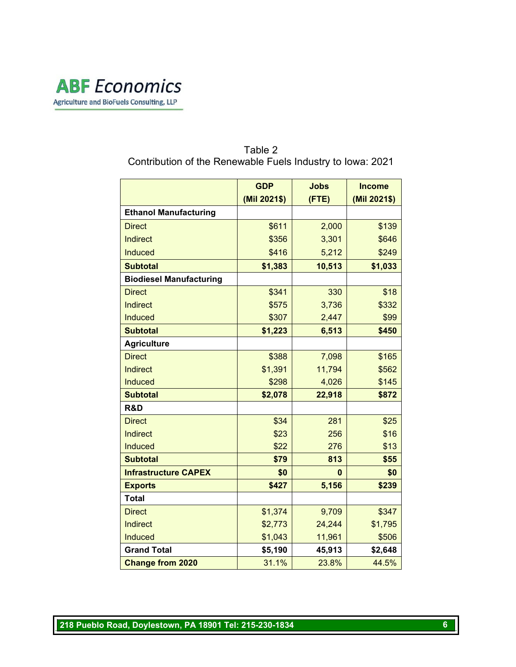

#### Table 2 Contribution of the Renewable Fuels Industry to Iowa: 2021

|                                | <b>GDP</b>   | <b>Jobs</b> | <b>Income</b> |
|--------------------------------|--------------|-------------|---------------|
|                                | (Mil 2021\$) | (FTE)       | (Mil 2021\$)  |
| <b>Ethanol Manufacturing</b>   |              |             |               |
| <b>Direct</b>                  | \$611        | 2,000       | \$139         |
| <b>Indirect</b>                | \$356        | 3,301       | \$646         |
| <b>Induced</b>                 | \$416        | 5,212       | \$249         |
| <b>Subtotal</b>                | \$1,383      | 10,513      | \$1,033       |
| <b>Biodiesel Manufacturing</b> |              |             |               |
| <b>Direct</b>                  | \$341        | 330         | \$18          |
| <b>Indirect</b>                | \$575        | 3,736       | \$332         |
| <b>Induced</b>                 | \$307        | 2,447       | \$99          |
| <b>Subtotal</b>                | \$1,223      | 6,513       | \$450         |
| <b>Agriculture</b>             |              |             |               |
| <b>Direct</b>                  | \$388        | 7,098       | \$165         |
| <b>Indirect</b>                | \$1,391      | 11,794      | \$562         |
| <b>Induced</b>                 | \$298        | 4,026       | \$145         |
| <b>Subtotal</b>                | \$2,078      | 22,918      | \$872         |
| R&D                            |              |             |               |
| <b>Direct</b>                  | \$34         | 281         | \$25          |
| <b>Indirect</b>                | \$23         | 256         | \$16          |
| <b>Induced</b>                 | \$22         | 276         | \$13          |
| <b>Subtotal</b>                | \$79         | 813         | \$55          |
| <b>Infrastructure CAPEX</b>    | \$0          | 0           | \$0           |
| <b>Exports</b>                 | \$427        | 5,156       | \$239         |
| <b>Total</b>                   |              |             |               |
| <b>Direct</b>                  | \$1,374      | 9,709       | \$347         |
| <b>Indirect</b>                | \$2,773      | 24,244      | \$1,795       |
| <b>Induced</b>                 | \$1,043      | 11,961      | \$506         |
| <b>Grand Total</b>             | \$5,190      | 45,913      | \$2,648       |
| <b>Change from 2020</b>        | 31.1%        | 23.8%       | 44.5%         |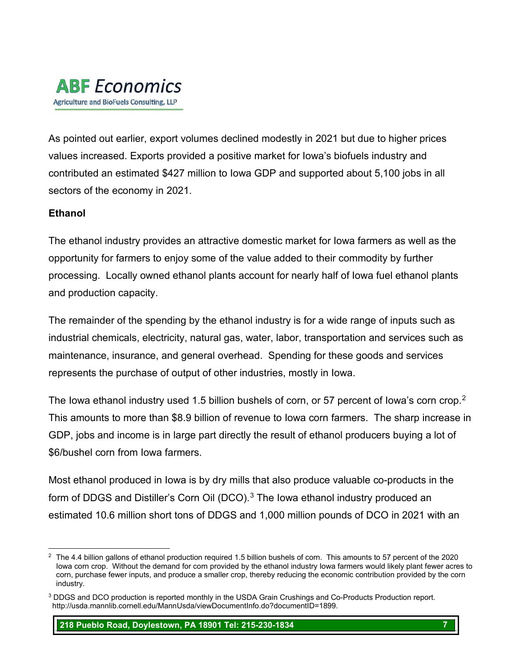

As pointed out earlier, export volumes declined modestly in 2021 but due to higher prices values increased. Exports provided a positive market for Iowa's biofuels industry and contributed an estimated \$427 million to Iowa GDP and supported about 5,100 jobs in all sectors of the economy in 2021.

#### **Ethanol**

The ethanol industry provides an attractive domestic market for Iowa farmers as well as the opportunity for farmers to enjoy some of the value added to their commodity by further processing. Locally owned ethanol plants account for nearly half of Iowa fuel ethanol plants and production capacity.

The remainder of the spending by the ethanol industry is for a wide range of inputs such as industrial chemicals, electricity, natural gas, water, labor, transportation and services such as maintenance, insurance, and general overhead. Spending for these goods and services represents the purchase of output of other industries, mostly in Iowa.

The Iowa ethanol industry used 1.5 billion bushels of corn, or 57 percent of Iowa's corn crop.<sup>2</sup> This amounts to more than \$8.9 billion of revenue to Iowa corn farmers. The sharp increase in GDP, jobs and income is in large part directly the result of ethanol producers buying a lot of \$6/bushel corn from Iowa farmers.

Most ethanol produced in Iowa is by dry mills that also produce valuable co-products in the form of DDGS and Distiller's Corn Oil (DCO).<sup>[3](#page-6-1)</sup> The Iowa ethanol industry produced an estimated 10.6 million short tons of DDGS and 1,000 million pounds of DCO in 2021 with an

**218 Pueblo Road, Doylestown, PA 18901 Tel: 215-230-1834 7**

<span id="page-6-0"></span> $2$  The 4.4 billion gallons of ethanol production required 1.5 billion bushels of corn. This amounts to 57 percent of the 2020 Iowa corn crop. Without the demand for corn provided by the ethanol industry Iowa farmers would likely plant fewer acres to corn, purchase fewer inputs, and produce a smaller crop, thereby reducing the economic contribution provided by the corn industry.

<span id="page-6-1"></span><sup>3</sup> DDGS and DCO production is reported monthly in the USDA Grain Crushings and Co-Products Production report. http://usda.mannlib.cornell.edu/MannUsda/viewDocumentInfo.do?documentID=1899.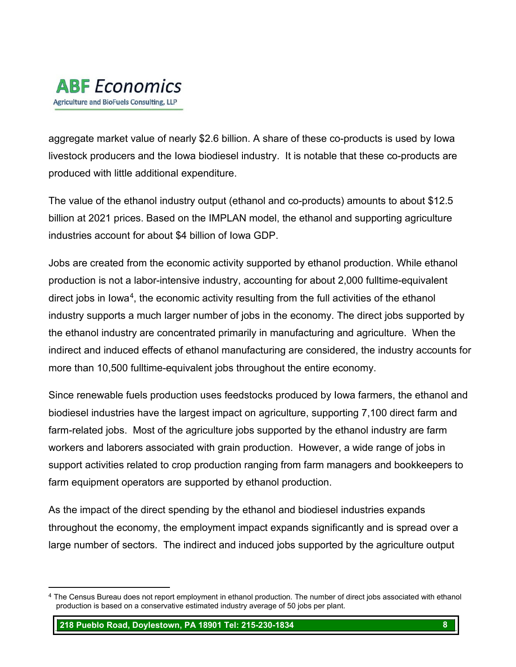

aggregate market value of nearly \$2.6 billion. A share of these co-products is used by Iowa livestock producers and the Iowa biodiesel industry. It is notable that these co-products are produced with little additional expenditure.

The value of the ethanol industry output (ethanol and co-products) amounts to about \$12.5 billion at 2021 prices. Based on the IMPLAN model, the ethanol and supporting agriculture industries account for about \$4 billion of Iowa GDP.

Jobs are created from the economic activity supported by ethanol production. While ethanol production is not a labor-intensive industry, accounting for about 2,000 fulltime-equivalent direct jobs in Iowa<sup>4</sup>, the economic activity resulting from the full activities of the ethanol industry supports a much larger number of jobs in the economy. The direct jobs supported by the ethanol industry are concentrated primarily in manufacturing and agriculture. When the indirect and induced effects of ethanol manufacturing are considered, the industry accounts for more than 10,500 fulltime-equivalent jobs throughout the entire economy.

Since renewable fuels production uses feedstocks produced by Iowa farmers, the ethanol and biodiesel industries have the largest impact on agriculture, supporting 7,100 direct farm and farm-related jobs. Most of the agriculture jobs supported by the ethanol industry are farm workers and laborers associated with grain production. However, a wide range of jobs in support activities related to crop production ranging from farm managers and bookkeepers to farm equipment operators are supported by ethanol production.

As the impact of the direct spending by the ethanol and biodiesel industries expands throughout the economy, the employment impact expands significantly and is spread over a large number of sectors. The indirect and induced jobs supported by the agriculture output

**218 Pueblo Road, Doylestown, PA 18901 Tel: 215-230-1834 8**

<span id="page-7-0"></span><sup>&</sup>lt;sup>4</sup> The Census Bureau does not report employment in ethanol production. The number of direct jobs associated with ethanol production is based on a conservative estimated industry average of 50 jobs per plant.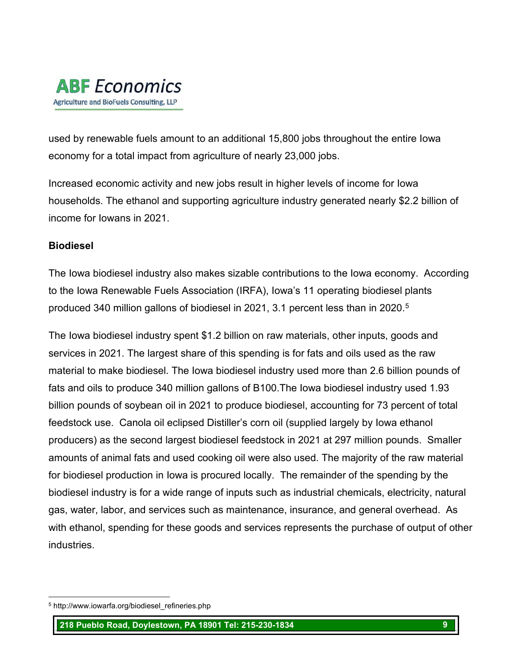

used by renewable fuels amount to an additional 15,800 jobs throughout the entire Iowa economy for a total impact from agriculture of nearly 23,000 jobs.

Increased economic activity and new jobs result in higher levels of income for Iowa households. The ethanol and supporting agriculture industry generated nearly \$2.2 billion of income for Iowans in 2021.

#### **Biodiesel**

The Iowa biodiesel industry also makes sizable contributions to the Iowa economy. According to the Iowa Renewable Fuels Association (IRFA), Iowa's 11 operating biodiesel plants produced 340 million gallons of biodiesel in 2021, 3.1 percent less than in 2020. [5](#page-8-0)

The Iowa biodiesel industry spent \$1.2 billion on raw materials, other inputs, goods and services in 2021. The largest share of this spending is for fats and oils used as the raw material to make biodiesel. The Iowa biodiesel industry used more than 2.6 billion pounds of fats and oils to produce 340 million gallons of B100.The Iowa biodiesel industry used 1.93 billion pounds of soybean oil in 2021 to produce biodiesel, accounting for 73 percent of total feedstock use. Canola oil eclipsed Distiller's corn oil (supplied largely by Iowa ethanol producers) as the second largest biodiesel feedstock in 2021 at 297 million pounds. Smaller amounts of animal fats and used cooking oil were also used. The majority of the raw material for biodiesel production in Iowa is procured locally. The remainder of the spending by the biodiesel industry is for a wide range of inputs such as industrial chemicals, electricity, natural gas, water, labor, and services such as maintenance, insurance, and general overhead. As with ethanol, spending for these goods and services represents the purchase of output of other industries.

<span id="page-8-0"></span><sup>5</sup> http://www.iowarfa.org/biodiesel\_refineries.php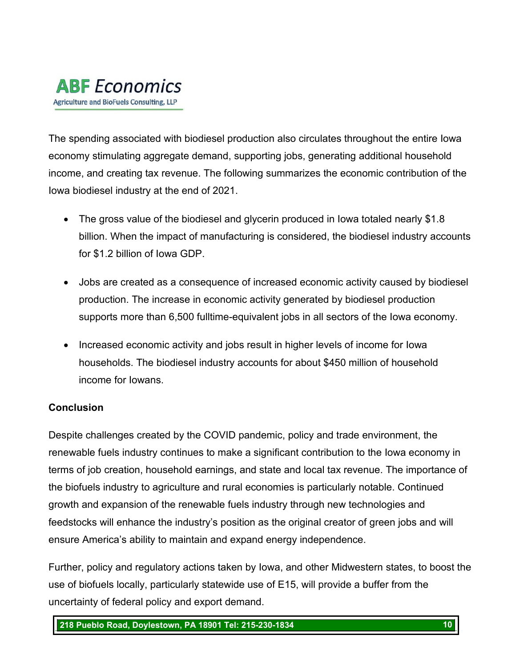

The spending associated with biodiesel production also circulates throughout the entire Iowa economy stimulating aggregate demand, supporting jobs, generating additional household income, and creating tax revenue. The following summarizes the economic contribution of the Iowa biodiesel industry at the end of 2021.

- The gross value of the biodiesel and glycerin produced in lowa totaled nearly \$1.8 billion. When the impact of manufacturing is considered, the biodiesel industry accounts for \$1.2 billion of Iowa GDP.
- Jobs are created as a consequence of increased economic activity caused by biodiesel production. The increase in economic activity generated by biodiesel production supports more than 6,500 fulltime-equivalent jobs in all sectors of the Iowa economy.
- Increased economic activity and jobs result in higher levels of income for Iowa households. The biodiesel industry accounts for about \$450 million of household income for Iowans.

# **Conclusion**

Despite challenges created by the COVID pandemic, policy and trade environment, the renewable fuels industry continues to make a significant contribution to the Iowa economy in terms of job creation, household earnings, and state and local tax revenue. The importance of the biofuels industry to agriculture and rural economies is particularly notable. Continued growth and expansion of the renewable fuels industry through new technologies and feedstocks will enhance the industry's position as the original creator of green jobs and will ensure America's ability to maintain and expand energy independence.

Further, policy and regulatory actions taken by Iowa, and other Midwestern states, to boost the use of biofuels locally, particularly statewide use of E15, will provide a buffer from the uncertainty of federal policy and export demand.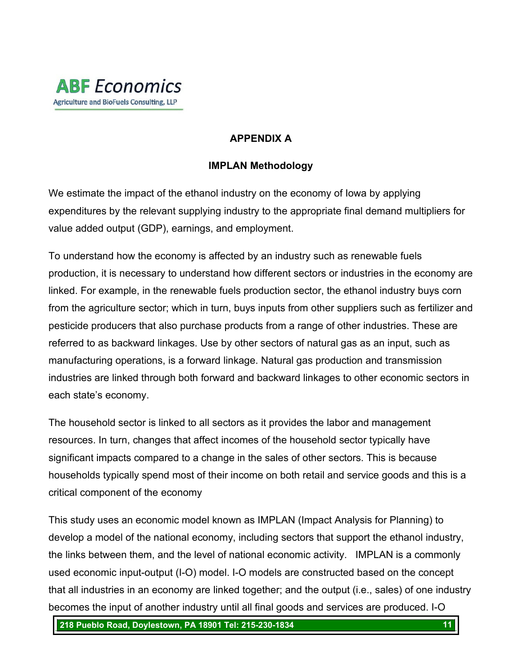

# **APPENDIX A**

# **IMPLAN Methodology**

We estimate the impact of the ethanol industry on the economy of Iowa by applying expenditures by the relevant supplying industry to the appropriate final demand multipliers for value added output (GDP), earnings, and employment.

To understand how the economy is affected by an industry such as renewable fuels production, it is necessary to understand how different sectors or industries in the economy are linked. For example, in the renewable fuels production sector, the ethanol industry buys corn from the agriculture sector; which in turn, buys inputs from other suppliers such as fertilizer and pesticide producers that also purchase products from a range of other industries. These are referred to as backward linkages. Use by other sectors of natural gas as an input, such as manufacturing operations, is a forward linkage. Natural gas production and transmission industries are linked through both forward and backward linkages to other economic sectors in each state's economy.

The household sector is linked to all sectors as it provides the labor and management resources. In turn, changes that affect incomes of the household sector typically have significant impacts compared to a change in the sales of other sectors. This is because households typically spend most of their income on both retail and service goods and this is a critical component of the economy

This study uses an economic model known as IMPLAN (Impact Analysis for Planning) to develop a model of the national economy, including sectors that support the ethanol industry, the links between them, and the level of national economic activity. IMPLAN is a commonly used economic input-output (I-O) model. I-O models are constructed based on the concept that all industries in an economy are linked together; and the output (i.e., sales) of one industry becomes the input of another industry until all final goods and services are produced. I-O